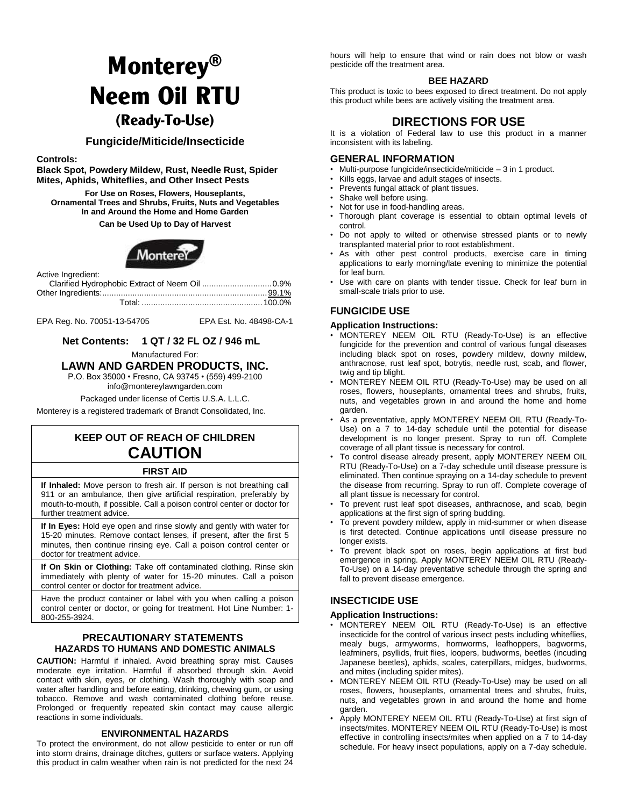# **Monterey® Neem Oil RTU (Ready-To-Use)**

## **Fungicide/Miticide/Insecticide**

**Controls:** 

**Black Spot, Powdery Mildew, Rust, Needle Rust, Spider Mites, Aphids, Whiteflies, and Other Insect Pests** 

**For Use on Roses, Flowers, Houseplants, Ornamental Trees and Shrubs, Fruits, Nuts and Vegetables In and Around the Home and Home Garden** 

**Can be Used Up to Day of Harvest** 



Active Ingredient:

EPA Reg. No. 70051-13-54705 EPA Est. No. 48498-CA-1

## **Net Contents: 1 QT / 32 FL OZ / 946 mL**

Manufactured For:

#### **LAWN AND GARDEN PRODUCTS, INC.**

P.O. Box 35000 • Fresno, CA 93745 • (559) 499-2100

[info@montereylawngarden.com](mailto:info@montereylawngarden.com) 

Packaged under license of Certis U.S.A. L.L.C.

Monterey is a registered trademark of Brandt Consolidated, Inc.

## **KEEP OUT OF REACH OF CHILDREN CAUTION**

## **FIRST AID**

**If Inhaled:** Move person to fresh air. If person is not breathing call 911 or an ambulance, then give artificial respiration, preferably by mouth-to-mouth, if possible. Call a poison control center or doctor for further treatment advice.

**If In Eyes:** Hold eye open and rinse slowly and gently with water for 15-20 minutes. Remove contact lenses, if present, after the first 5 minutes, then continue rinsing eye. Call a poison control center or doctor for treatment advice.

**If On Skin or Clothing:** Take off contaminated clothing. Rinse skin immediately with plenty of water for 15-20 minutes. Call a poison control center or doctor for treatment advice.

Have the product container or label with you when calling a poison control center or doctor, or going for treatment. Hot Line Number: 1- 800-255-3924.

## **PRECAUTIONARY STATEMENTS HAZARDS TO HUMANS AND DOMESTIC ANIMALS**

**CAUTION:** Harmful if inhaled. Avoid breathing spray mist. Causes moderate eye irritation. Harmful if absorbed through skin. Avoid contact with skin, eyes, or clothing. Wash thoroughly with soap and water after handling and before eating, drinking, chewing gum, or using tobacco. Remove and wash contaminated clothing before reuse. Prolonged or frequently repeated skin contact may cause allergic reactions in some individuals.

#### **ENVIRONMENTAL HAZARDS**

To protect the environment, do not allow pesticide to enter or run off into storm drains, drainage ditches, gutters or surface waters. Applying this product in calm weather when rain is not predicted for the next 24

hours will help to ensure that wind or rain does not blow or wash pesticide off the treatment area.

#### **BEE HAZARD**

This product is toxic to bees exposed to direct treatment. Do not apply this product while bees are actively visiting the treatment area.

## **DIRECTIONS FOR USE**

It is a violation of Federal law to use this product in a manner inconsistent with its labeling.

### **GENERAL INFORMATION**

- Multi-purpose fungicide/insecticide/miticide 3 in 1 product.
- Kills eggs, larvae and adult stages of insects.
- Prevents fungal attack of plant tissues.
- Shake well before using.
- Not for use in food-handling areas.
- Thorough plant coverage is essential to obtain optimal levels of control.
- Do not apply to wilted or otherwise stressed plants or to newly transplanted material prior to root establishment.
- As with other pest control products, exercise care in timing applications to early morning/late evening to minimize the potential for leaf burn.
- Use with care on plants with tender tissue. Check for leaf burn in small-scale trials prior to use.

## **FUNGICIDE USE**

#### **Application Instructions:**

- MONTEREY NEEM OIL RTU (Ready-To-Use) is an effective fungicide for the prevention and control of various fungal diseases including black spot on roses, powdery mildew, downy mildew, anthracnose, rust leaf spot, botrytis, needle rust, scab, and flower, twig and tip blight.
- MONTEREY NEEM OIL RTU (Ready-To-Use) may be used on all roses, flowers, houseplants, ornamental trees and shrubs, fruits, nuts, and vegetables grown in and around the home and home garden.
- As a preventative, apply MONTEREY NEEM OIL RTU (Ready-To-Use) on a 7 to 14-day schedule until the potential for disease development is no longer present. Spray to run off. Complete coverage of all plant tissue is necessary for control.
- To control disease already present, apply MONTEREY NEEM OIL RTU (Ready-To-Use) on a 7-day schedule until disease pressure is eliminated. Then continue spraying on a 14-day schedule to prevent the disease from recurring. Spray to run off. Complete coverage of all plant tissue is necessary for control.
- To prevent rust leaf spot diseases, anthracnose, and scab, begin applications at the first sign of spring budding.
- To prevent powdery mildew, apply in mid-summer or when disease is first detected. Continue applications until disease pressure no longer exists.
- To prevent black spot on roses, begin applications at first bud emergence in spring. Apply MONTEREY NEEM OIL RTU (Ready-To-Use) on a 14-day preventative schedule through the spring and fall to prevent disease emergence.

## **INSECTICIDE USE**

#### **Application Instructions:**

- MONTEREY NEEM OIL RTU (Ready-To-Use) is an effective insecticide for the control of various insect pests including whiteflies, mealy bugs, armyworms, hornworms, leafhoppers, bagworms, leafminers, psyllids, fruit flies, loopers, budworms, beetles (incuding Japanese beetles), aphids, scales, caterpillars, midges, budworms, and mites (including spider mites).
- MONTEREY NEEM OIL RTU (Ready-To-Use) may be used on all roses, flowers, houseplants, ornamental trees and shrubs, fruits, nuts, and vegetables grown in and around the home and home garden.
- Apply MONTEREY NEEM OIL RTU (Ready-To-Use) at first sign of insects/mites. MONTEREY NEEM OIL RTU (Ready-To-Use) is most effective in controlling insects/mites when applied on a 7 to 14-day schedule. For heavy insect populations, apply on a 7-day schedule.